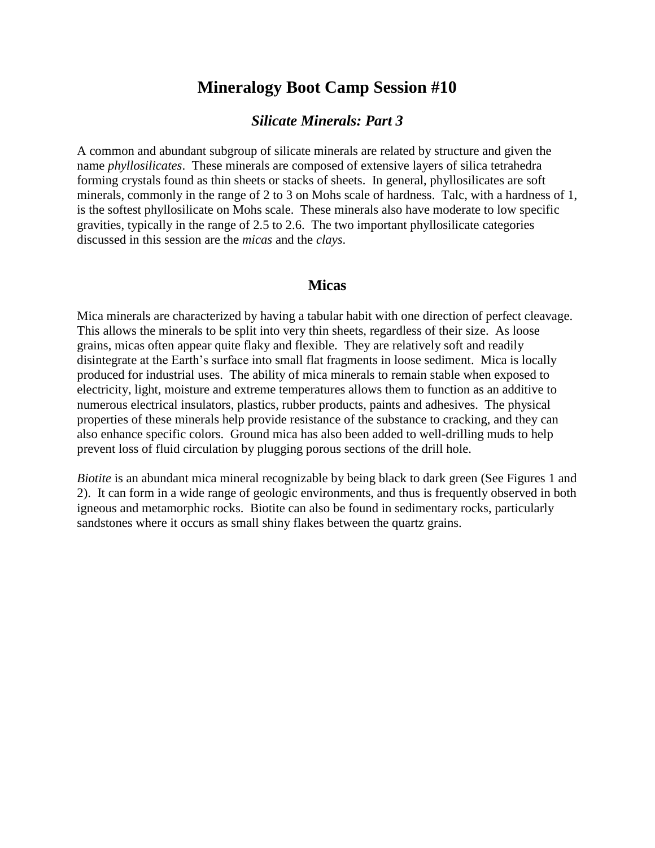## **Mineralogy Boot Camp Session #10**

## *Silicate Minerals: Part 3*

A common and abundant subgroup of silicate minerals are related by structure and given the name *phyllosilicates*. These minerals are composed of extensive layers of silica tetrahedra forming crystals found as thin sheets or stacks of sheets. In general, phyllosilicates are soft minerals, commonly in the range of 2 to 3 on Mohs scale of hardness. Talc, with a hardness of 1, is the softest phyllosilicate on Mohs scale. These minerals also have moderate to low specific gravities, typically in the range of 2.5 to 2.6. The two important phyllosilicate categories discussed in this session are the *micas* and the *clays*.

## **Micas**

Mica minerals are characterized by having a tabular habit with one direction of perfect cleavage. This allows the minerals to be split into very thin sheets, regardless of their size. As loose grains, micas often appear quite flaky and flexible. They are relatively soft and readily disintegrate at the Earth's surface into small flat fragments in loose sediment. Mica is locally produced for industrial uses. The ability of mica minerals to remain stable when exposed to electricity, light, moisture and extreme temperatures allows them to function as an additive to numerous electrical insulators, plastics, rubber products, paints and adhesives. The physical properties of these minerals help provide resistance of the substance to cracking, and they can also enhance specific colors. Ground mica has also been added to well-drilling muds to help prevent loss of fluid circulation by plugging porous sections of the drill hole.

*Biotite* is an abundant mica mineral recognizable by being black to dark green (See Figures 1 and 2). It can form in a wide range of geologic environments, and thus is frequently observed in both igneous and metamorphic rocks. Biotite can also be found in sedimentary rocks, particularly sandstones where it occurs as small shiny flakes between the quartz grains.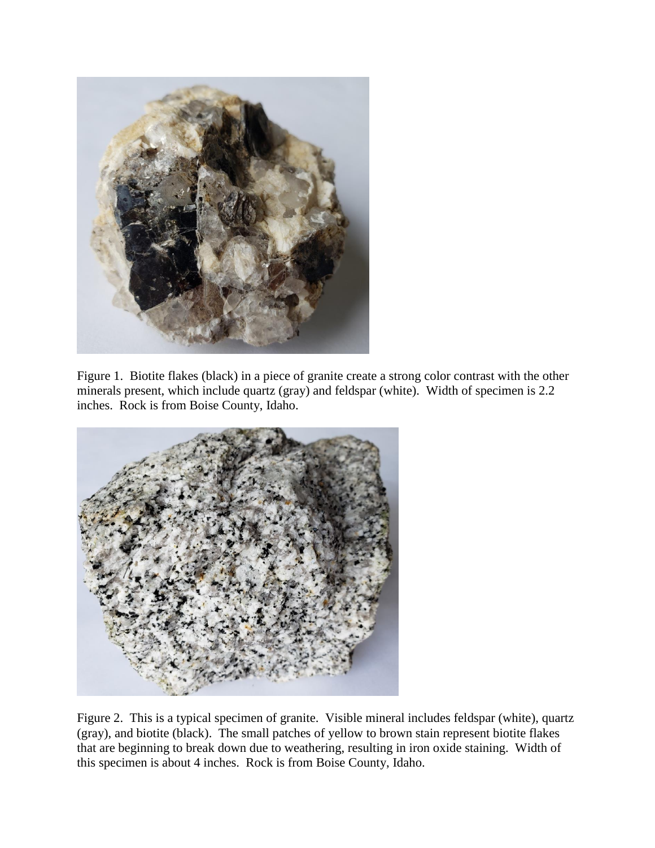

Figure 1. Biotite flakes (black) in a piece of granite create a strong color contrast with the other minerals present, which include quartz (gray) and feldspar (white). Width of specimen is 2.2 inches. Rock is from Boise County, Idaho.



Figure 2. This is a typical specimen of granite. Visible mineral includes feldspar (white), quartz (gray), and biotite (black). The small patches of yellow to brown stain represent biotite flakes that are beginning to break down due to weathering, resulting in iron oxide staining. Width of this specimen is about 4 inches. Rock is from Boise County, Idaho.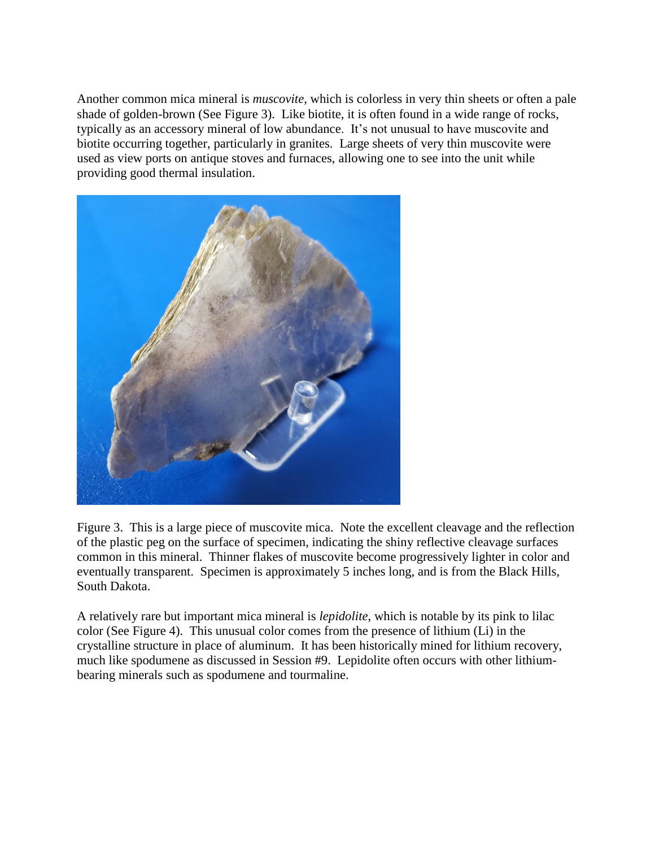Another common mica mineral is *muscovite*, which is colorless in very thin sheets or often a pale shade of golden-brown (See Figure 3). Like biotite, it is often found in a wide range of rocks, typically as an accessory mineral of low abundance. It's not unusual to have muscovite and biotite occurring together, particularly in granites. Large sheets of very thin muscovite were used as view ports on antique stoves and furnaces, allowing one to see into the unit while providing good thermal insulation.



Figure 3. This is a large piece of muscovite mica. Note the excellent cleavage and the reflection of the plastic peg on the surface of specimen, indicating the shiny reflective cleavage surfaces common in this mineral. Thinner flakes of muscovite become progressively lighter in color and eventually transparent. Specimen is approximately 5 inches long, and is from the Black Hills, South Dakota.

A relatively rare but important mica mineral is *lepidolite*, which is notable by its pink to lilac color (See Figure 4). This unusual color comes from the presence of lithium (Li) in the crystalline structure in place of aluminum. It has been historically mined for lithium recovery, much like spodumene as discussed in Session #9. Lepidolite often occurs with other lithiumbearing minerals such as spodumene and tourmaline.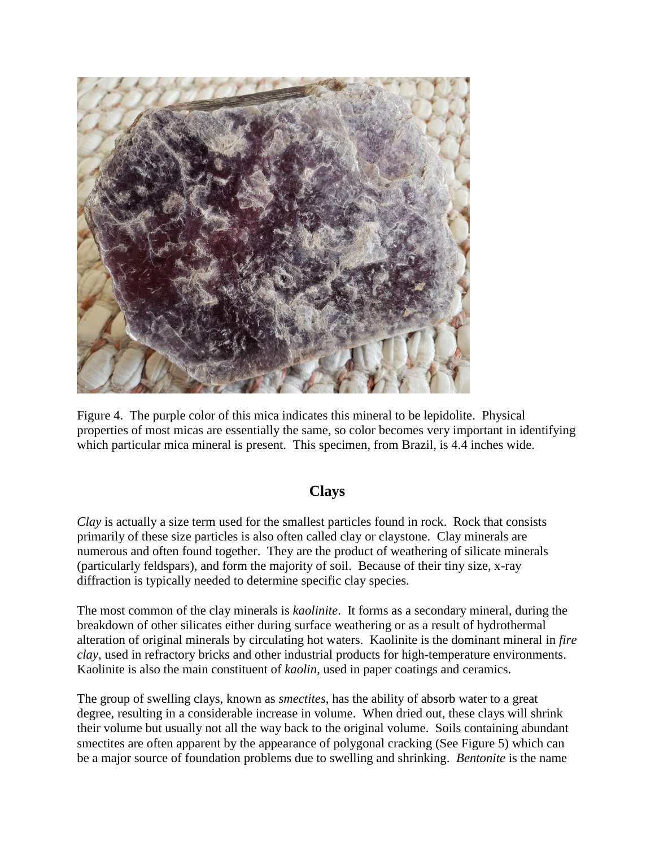

Figure 4. The purple color of this mica indicates this mineral to be lepidolite. Physical properties of most micas are essentially the same, so color becomes very important in identifying which particular mica mineral is present. This specimen, from Brazil, is 4.4 inches wide.

## **Clays**

*Clay* is actually a size term used for the smallest particles found in rock. Rock that consists primarily of these size particles is also often called clay or claystone. Clay minerals are numerous and often found together. They are the product of weathering of silicate minerals (particularly feldspars), and form the majority of soil. Because of their tiny size, x-ray diffraction is typically needed to determine specific clay species.

The most common of the clay minerals is *kaolinite*. It forms as a secondary mineral, during the breakdown of other silicates either during surface weathering or as a result of hydrothermal alteration of original minerals by circulating hot waters. Kaolinite is the dominant mineral in *fire clay*, used in refractory bricks and other industrial products for high-temperature environments. Kaolinite is also the main constituent of *kaolin*, used in paper coatings and ceramics.

The group of swelling clays, known as *smectites*, has the ability of absorb water to a great degree, resulting in a considerable increase in volume. When dried out, these clays will shrink their volume but usually not all the way back to the original volume. Soils containing abundant smectites are often apparent by the appearance of polygonal cracking (See Figure 5) which can be a major source of foundation problems due to swelling and shrinking. *Bentonite* is the name